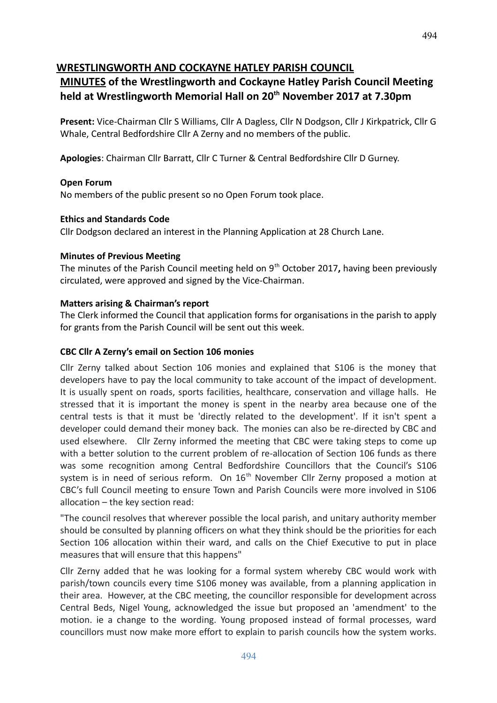## **WRESTLINGWORTH AND COCKAYNE HATLEY PARISH COUNCIL**

# **MINUTES of the Wrestlingworth and Cockayne Hatley Parish Council Meeting held at Wrestlingworth Memorial Hall on 20th November 2017 at 7.30pm**

**Present:** Vice-Chairman Cllr S Williams, Cllr A Dagless, Cllr N Dodgson, Cllr J Kirkpatrick, Cllr G Whale, Central Bedfordshire Cllr A Zerny and no members of the public.

**Apologies**: Chairman Cllr Barratt, Cllr C Turner & Central Bedfordshire Cllr D Gurney.

## **Open Forum**

No members of the public present so no Open Forum took place.

## **Ethics and Standards Code**

Cllr Dodgson declared an interest in the Planning Application at 28 Church Lane.

## **Minutes of Previous Meeting**

The minutes of the Parish Council meeting held on 9<sup>th</sup> October 2017, having been previously circulated, were approved and signed by the Vice-Chairman.

## **Matters arising & Chairman's report**

The Clerk informed the Council that application forms for organisations in the parish to apply for grants from the Parish Council will be sent out this week.

## **CBC Cllr A Zerny's email on Section 106 monies**

Cllr Zerny talked about Section 106 monies and explained that S106 is the money that developers have to pay the local community to take account of the impact of development. It is usually spent on roads, sports facilities, healthcare, conservation and village halls. He stressed that it is important the money is spent in the nearby area because one of the central tests is that it must be 'directly related to the development'. If it isn't spent a developer could demand their money back. The monies can also be re-directed by CBC and used elsewhere. Cllr Zerny informed the meeting that CBC were taking steps to come up with a better solution to the current problem of re-allocation of Section 106 funds as there was some recognition among Central Bedfordshire Councillors that the Council's S106 system is in need of serious reform. On  $16<sup>th</sup>$  November Cllr Zerny proposed a motion at CBC's full Council meeting to ensure Town and Parish Councils were more involved in S106 allocation – the key section read:

"The council resolves that wherever possible the local parish, and unitary authority member should be consulted by planning officers on what they think should be the priorities for each Section 106 allocation within their ward, and calls on the Chief Executive to put in place measures that will ensure that this happens"

Cllr Zerny added that he was looking for a formal system whereby CBC would work with parish/town councils every time S106 money was available, from a planning application in their area. However, at the CBC meeting, the councillor responsible for development across Central Beds, Nigel Young, acknowledged the issue but proposed an 'amendment' to the motion. ie a change to the wording. Young proposed instead of formal processes, ward councillors must now make more effort to explain to parish councils how the system works.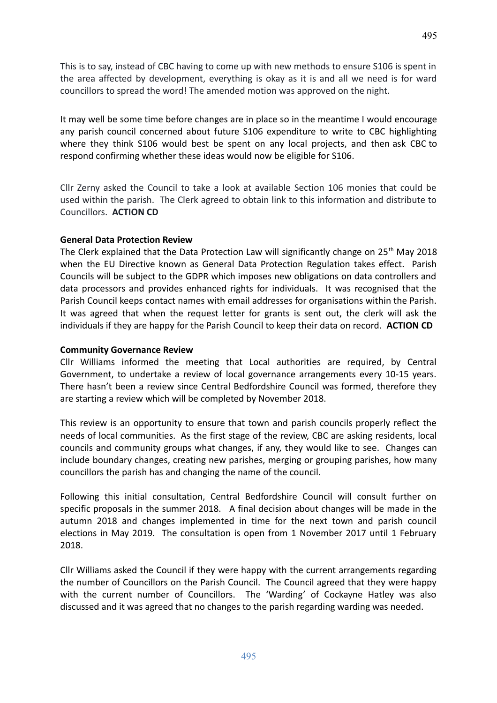This is to say, instead of CBC having to come up with new methods to ensure S106 is spent in the area affected by development, everything is okay as it is and all we need is for ward councillors to spread the word! The amended motion was approved on the night.

It may well be some time before changes are in place so in the meantime I would encourage any parish council concerned about future S106 expenditure to write to CBC highlighting where they think S106 would best be spent on any local projects, and then ask CBC to respond confirming whether these ideas would now be eligible for S106.

Cllr Zerny asked the Council to take a look at available Section 106 monies that could be used within the parish. The Clerk agreed to obtain link to this information and distribute to Councillors. **ACTION CD**

#### **General Data Protection Review**

The Clerk explained that the Data Protection Law will significantly change on  $25<sup>th</sup>$  May 2018 when the EU Directive known as General Data Protection Regulation takes effect. Parish Councils will be subject to the GDPR which imposes new obligations on data controllers and data processors and provides enhanced rights for individuals. It was recognised that the Parish Council keeps contact names with email addresses for organisations within the Parish. It was agreed that when the request letter for grants is sent out, the clerk will ask the individuals if they are happy for the Parish Council to keep their data on record. **ACTION CD**

#### **Community Governance Review**

Cllr Williams informed the meeting that Local authorities are required, by Central Government, to undertake a review of local governance arrangements every 10-15 years. There hasn't been a review since Central Bedfordshire Council was formed, therefore they are starting a review which will be completed by November 2018.

This review is an opportunity to ensure that town and parish councils properly reflect the needs of local communities. As the first stage of the review, CBC are asking residents, local councils and community groups what changes, if any, they would like to see. Changes can include boundary changes, creating new parishes, merging or grouping parishes, how many councillors the parish has and changing the name of the council.

Following this initial consultation, Central Bedfordshire Council will consult further on specific proposals in the summer 2018. A final decision about changes will be made in the autumn 2018 and changes implemented in time for the next town and parish council elections in May 2019. The consultation is open from 1 November 2017 until 1 February 2018.

Cllr Williams asked the Council if they were happy with the current arrangements regarding the number of Councillors on the Parish Council. The Council agreed that they were happy with the current number of Councillors. The 'Warding' of Cockayne Hatley was also discussed and it was agreed that no changes to the parish regarding warding was needed.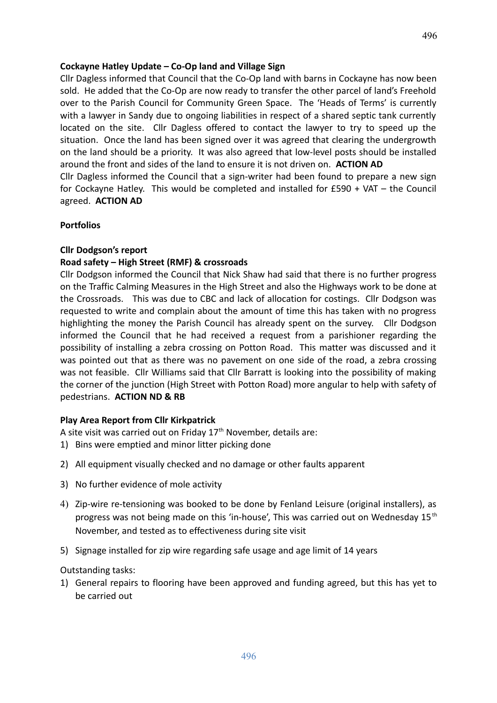#### **Cockayne Hatley Update – Co-Op land and Village Sign**

Cllr Dagless informed that Council that the Co-Op land with barns in Cockayne has now been sold. He added that the Co-Op are now ready to transfer the other parcel of land's Freehold over to the Parish Council for Community Green Space. The 'Heads of Terms' is currently with a lawyer in Sandy due to ongoing liabilities in respect of a shared septic tank currently located on the site. Cllr Dagless offered to contact the lawyer to try to speed up the situation. Once the land has been signed over it was agreed that clearing the undergrowth on the land should be a priority. It was also agreed that low-level posts should be installed around the front and sides of the land to ensure it is not driven on. **ACTION AD** Cllr Dagless informed the Council that a sign-writer had been found to prepare a new sign

for Cockayne Hatley. This would be completed and installed for £590 + VAT – the Council agreed. **ACTION AD**

#### **Portfolios**

#### **Cllr Dodgson's report**

#### **Road safety – High Street (RMF) & crossroads**

Cllr Dodgson informed the Council that Nick Shaw had said that there is no further progress on the Traffic Calming Measures in the High Street and also the Highways work to be done at the Crossroads. This was due to CBC and lack of allocation for costings. Cllr Dodgson was requested to write and complain about the amount of time this has taken with no progress highlighting the money the Parish Council has already spent on the survey. Cllr Dodgson informed the Council that he had received a request from a parishioner regarding the possibility of installing a zebra crossing on Potton Road. This matter was discussed and it was pointed out that as there was no pavement on one side of the road, a zebra crossing was not feasible. Cllr Williams said that Cllr Barratt is looking into the possibility of making the corner of the junction (High Street with Potton Road) more angular to help with safety of pedestrians. **ACTION ND & RB**

#### **Play Area Report from Cllr Kirkpatrick**

A site visit was carried out on Friday  $17<sup>th</sup>$  November, details are:

- 1) Bins were emptied and minor litter picking done
- 2) All equipment visually checked and no damage or other faults apparent
- 3) No further evidence of mole activity
- 4) Zip-wire re-tensioning was booked to be done by Fenland Leisure (original installers), as progress was not being made on this 'in-house', This was carried out on Wednesday 15<sup>th</sup> November, and tested as to effectiveness during site visit
- 5) Signage installed for zip wire regarding safe usage and age limit of 14 years

Outstanding tasks:

1) General repairs to flooring have been approved and funding agreed, but this has yet to be carried out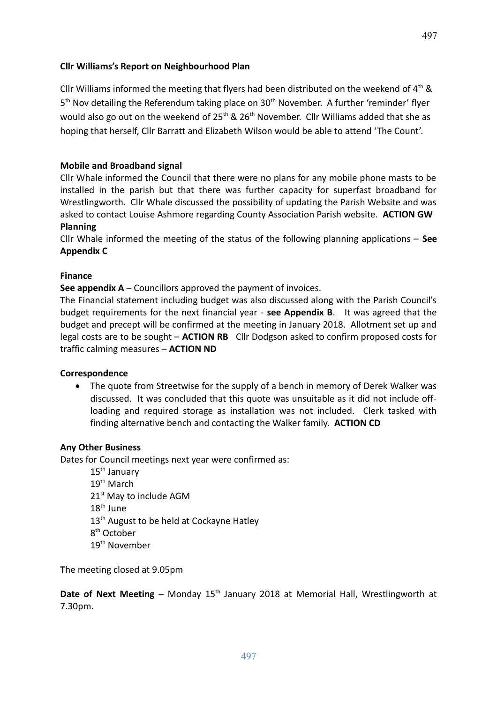Cllr Williams informed the meeting that flyers had been distributed on the weekend of  $4<sup>th</sup>$  & 5<sup>th</sup> Nov detailing the Referendum taking place on 30<sup>th</sup> November. A further 'reminder' flyer would also go out on the weekend of  $25<sup>th</sup>$  &  $26<sup>th</sup>$  November. Cllr Williams added that she as hoping that herself, Cllr Barratt and Elizabeth Wilson would be able to attend 'The Count'.

## **Mobile and Broadband signal**

Cllr Whale informed the Council that there were no plans for any mobile phone masts to be installed in the parish but that there was further capacity for superfast broadband for Wrestlingworth. Cllr Whale discussed the possibility of updating the Parish Website and was asked to contact Louise Ashmore regarding County Association Parish website. **ACTION GW Planning**

Cllr Whale informed the meeting of the status of the following planning applications – **See Appendix C**

## **Finance**

**See appendix A** – Councillors approved the payment of invoices.

The Financial statement including budget was also discussed along with the Parish Council's budget requirements for the next financial year - **see Appendix B**. It was agreed that the budget and precept will be confirmed at the meeting in January 2018. Allotment set up and legal costs are to be sought – **ACTION RB** Cllr Dodgson asked to confirm proposed costs for traffic calming measures – **ACTION ND**

## **Correspondence**

• The quote from Streetwise for the supply of a bench in memory of Derek Walker was discussed. It was concluded that this quote was unsuitable as it did not include offloading and required storage as installation was not included. Clerk tasked with finding alternative bench and contacting the Walker family. **ACTION CD**

## **Any Other Business**

Dates for Council meetings next year were confirmed as:

15<sup>th</sup> January  $19<sup>th</sup>$  March 21<sup>st</sup> May to include AGM  $18^{\text{th}}$  June 13<sup>th</sup> August to be held at Cockayne Hatley 8<sup>th</sup> October 19<sup>th</sup> November

**T**he meeting closed at 9.05pm

**Date of Next Meeting** – Monday 15<sup>th</sup> January 2018 at Memorial Hall, Wrestlingworth at 7.30pm.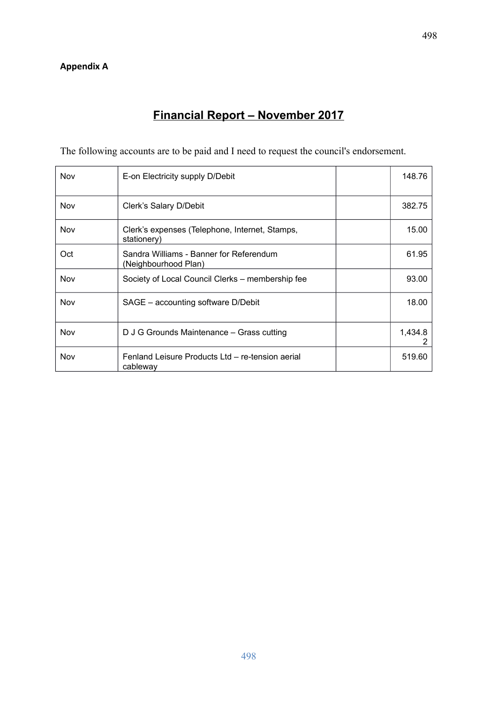## **Appendix A**

# **Financial Report – November 2017**

The following accounts are to be paid and I need to request the council's endorsement.

| <b>Nov</b> | E-on Electricity supply D/Debit                                 | 148.76       |
|------------|-----------------------------------------------------------------|--------------|
| Nov        | Clerk's Salary D/Debit                                          | 382.75       |
| Nov        | Clerk's expenses (Telephone, Internet, Stamps,<br>stationery)   | 15.00        |
| Oct        | Sandra Williams - Banner for Referendum<br>(Neighbourhood Plan) | 61.95        |
| Nov        | Society of Local Council Clerks – membership fee                | 93.00        |
| Nov        | SAGE – accounting software D/Debit                              | 18.00        |
| Nov        | D J G Grounds Maintenance - Grass cutting                       | 1,434.8<br>2 |
| Nov        | Fenland Leisure Products Ltd - re-tension aerial<br>cableway    | 519.60       |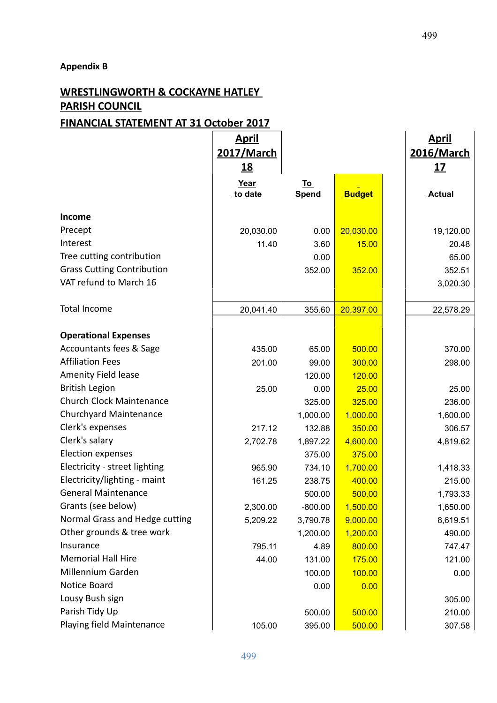#### **Appendix B**

# **WRESTLINGWORTH & COCKAYNE HATLEY PARISH COUNCIL**

## **FINANCIAL STATEMENT AT 31 October 2017**

|                                   | <u>April</u><br>2017/March |                           |               | <u>April</u><br>2016/March |
|-----------------------------------|----------------------------|---------------------------|---------------|----------------------------|
|                                   | <u>18</u>                  |                           |               | <u>17</u>                  |
|                                   | Year<br>to date            | <u>To</u><br><b>Spend</b> | <b>Budget</b> | <b>Actual</b>              |
| Income                            |                            |                           |               |                            |
| Precept                           | 20,030.00                  | 0.00                      | 20,030.00     | 19,120.00                  |
| Interest                          | 11.40                      | 3.60                      | 15.00         | 20.48                      |
| Tree cutting contribution         |                            | 0.00                      |               | 65.00                      |
| <b>Grass Cutting Contribution</b> |                            | 352.00                    | 352.00        | 352.51                     |
| VAT refund to March 16            |                            |                           |               | 3,020.30                   |
| <b>Total Income</b>               | 20,041.40                  | 355.60                    | 20,397.00     | 22,578.29                  |
|                                   |                            |                           |               |                            |
| <b>Operational Expenses</b>       |                            |                           |               |                            |
| Accountants fees & Sage           | 435.00                     | 65.00                     | 500.00        | 370.00                     |
| <b>Affiliation Fees</b>           | 201.00                     | 99.00                     | 300.00        | 298.00                     |
| Amenity Field lease               |                            | 120.00                    | 120.00        |                            |
| <b>British Legion</b>             | 25.00                      | 0.00                      | 25.00         | 25.00                      |
| <b>Church Clock Maintenance</b>   |                            | 325.00                    | 325.00        | 236.00                     |
| Churchyard Maintenance            |                            | 1,000.00                  | 1,000.00      | 1,600.00                   |
| Clerk's expenses                  | 217.12                     | 132.88                    | 350.00        | 306.57                     |
| Clerk's salary                    | 2,702.78                   | 1,897.22                  | 4,600.00      | 4,819.62                   |
| <b>Election expenses</b>          |                            | 375.00                    | 375.00        |                            |
| Electricity - street lighting     | 965.90                     | 734.10                    | 1,700.00      | 1,418.33                   |
| Electricity/lighting - maint      | 161.25                     | 238.75                    | 400.00        | 215.00                     |
| <b>General Maintenance</b>        |                            | 500.00                    | 500.00        | 1,793.33                   |
| Grants (see below)                | 2,300.00                   | $-800.00$                 | 1,500.00      | 1,650.00                   |
| Normal Grass and Hedge cutting    | 5,209.22                   | 3,790.78                  | 9,000.00      | 8,619.51                   |
| Other grounds & tree work         |                            | 1,200.00                  | 1,200.00      | 490.00                     |
| Insurance                         | 795.11                     | 4.89                      | 800.00        | 747.47                     |
| <b>Memorial Hall Hire</b>         | 44.00                      | 131.00                    | 175.00        | 121.00                     |
| Millennium Garden                 |                            | 100.00                    | 100.00        | 0.00                       |
| Notice Board                      |                            | 0.00                      | 0.00          |                            |
| Lousy Bush sign                   |                            |                           |               | 305.00                     |
| Parish Tidy Up                    |                            | 500.00                    | 500.00        | 210.00                     |
| Playing field Maintenance         | 105.00                     | 395.00                    | 500.00        | 307.58                     |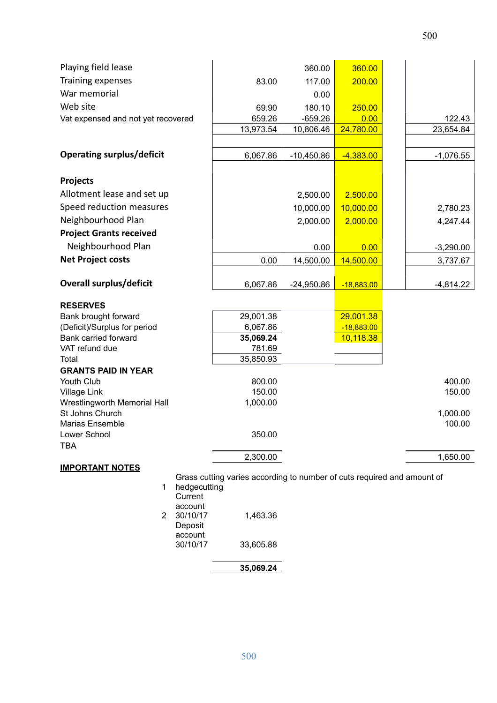| Playing field lease                                                                               |           | 360.00       | 360.00       |             |
|---------------------------------------------------------------------------------------------------|-----------|--------------|--------------|-------------|
| Training expenses                                                                                 | 83.00     | 117.00       | 200.00       |             |
| War memorial                                                                                      |           | 0.00         |              |             |
| Web site                                                                                          | 69.90     | 180.10       | 250.00       |             |
| Vat expensed and not yet recovered                                                                | 659.26    | $-659.26$    | 0.00         | 122.43      |
|                                                                                                   | 13,973.54 | 10,806.46    | 24,780.00    | 23,654.84   |
|                                                                                                   |           |              |              |             |
| <b>Operating surplus/deficit</b>                                                                  | 6,067.86  | $-10,450.86$ | $-4,383.00$  | $-1,076.55$ |
|                                                                                                   |           |              |              |             |
| <b>Projects</b>                                                                                   |           |              |              |             |
| Allotment lease and set up                                                                        |           | 2,500.00     | 2,500.00     |             |
| Speed reduction measures                                                                          |           | 10,000.00    | 10,000.00    | 2,780.23    |
| Neighbourhood Plan                                                                                |           | 2,000.00     | 2,000.00     | 4,247.44    |
| <b>Project Grants received</b>                                                                    |           |              |              |             |
| Neighbourhood Plan                                                                                |           | 0.00         | 0.00         | $-3,290.00$ |
| <b>Net Project costs</b>                                                                          | 0.00      | 14,500.00    | 14,500.00    | 3,737.67    |
|                                                                                                   |           |              |              |             |
| <b>Overall surplus/deficit</b>                                                                    | 6,067.86  | $-24,950.86$ | $-18,883.00$ | $-4,814.22$ |
| <b>RESERVES</b>                                                                                   |           |              |              |             |
| Bank brought forward                                                                              | 29,001.38 |              | 29,001.38    |             |
| (Deficit)/Surplus for period                                                                      | 6,067.86  |              | $-18,883.00$ |             |
| Bank carried forward                                                                              | 35,069.24 |              | 10,118.38    |             |
| VAT refund due                                                                                    | 781.69    |              |              |             |
| Total                                                                                             | 35,850.93 |              |              |             |
| <b>GRANTS PAID IN YEAR</b><br>Youth Club                                                          | 800.00    |              |              | 400.00      |
| Village Link                                                                                      | 150.00    |              |              | 150.00      |
| Wrestlingworth Memorial Hall                                                                      | 1,000.00  |              |              |             |
| St Johns Church                                                                                   |           |              |              | 1,000.00    |
| <b>Marias Ensemble</b>                                                                            |           |              |              | 100.00      |
| Lower School                                                                                      | 350.00    |              |              |             |
| <b>TBA</b>                                                                                        |           |              |              |             |
|                                                                                                   | 2,300.00  |              |              | 1,650.00    |
| <b>IMPORTANT NOTES</b><br>Grass cutting varies according to number of cuts required and amount of |           |              |              |             |
|                                                                                                   |           |              |              |             |

|   | hedgecutting |           |
|---|--------------|-----------|
|   | Current      |           |
|   | account      |           |
| 2 | 30/10/17     | 1,463.36  |
|   | Deposit      |           |
|   | account      |           |
|   | 30/10/17     | 33,605.88 |
|   |              |           |

| 35,069.24 |
|-----------|
|           |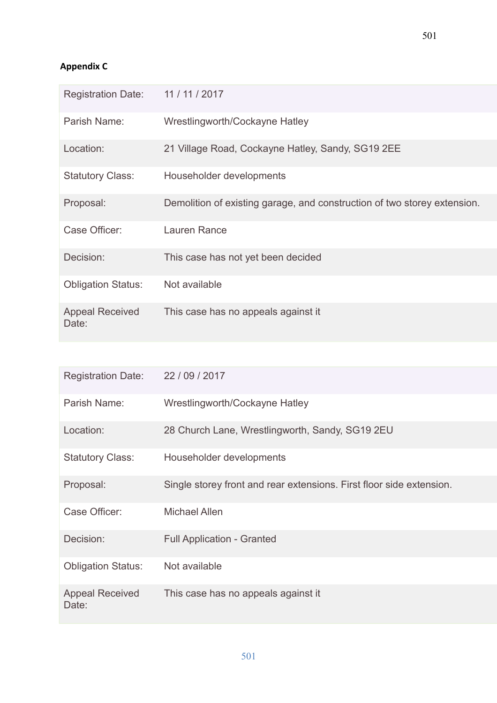## **Appendix C**

| <b>Registration Date:</b>       | 11/11/2017                                                               |
|---------------------------------|--------------------------------------------------------------------------|
| Parish Name:                    | Wrestlingworth/Cockayne Hatley                                           |
| Location:                       | 21 Village Road, Cockayne Hatley, Sandy, SG19 2EE                        |
| <b>Statutory Class:</b>         | Householder developments                                                 |
| Proposal:                       | Demolition of existing garage, and construction of two storey extension. |
| Case Officer:                   | Lauren Rance                                                             |
| Decision:                       | This case has not yet been decided                                       |
| <b>Obligation Status:</b>       | Not available                                                            |
| <b>Appeal Received</b><br>Date: | This case has no appeals against it                                      |

| <b>Registration Date:</b>       | 22/09/2017                                                           |
|---------------------------------|----------------------------------------------------------------------|
| Parish Name:                    | Wrestlingworth/Cockayne Hatley                                       |
| Location:                       | 28 Church Lane, Wrestlingworth, Sandy, SG19 2EU                      |
| <b>Statutory Class:</b>         | Householder developments                                             |
| Proposal:                       | Single storey front and rear extensions. First floor side extension. |
| Case Officer:                   | <b>Michael Allen</b>                                                 |
| Decision:                       | <b>Full Application - Granted</b>                                    |
| <b>Obligation Status:</b>       | Not available                                                        |
| <b>Appeal Received</b><br>Date: | This case has no appeals against it                                  |